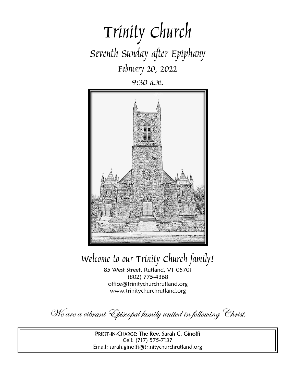# Trinity Church Seventh Sunday after Epiphany February 20, 2022

9:30 a.m.



Welcome to our Trinity Church family!

85 West Street, Rutland, VT 05701 (802) 775-4368 office@trinitychurchrutland.org www.trinitychurchrutland.org

We are a vibrant Episcopal family united in following Christ.

PRIEST-IN-CHARGE: The Rev. Sarah C. Ginolfi Cell: (717) 575-7137 Email: sarah.ginolfi@trinitychurchrutland.org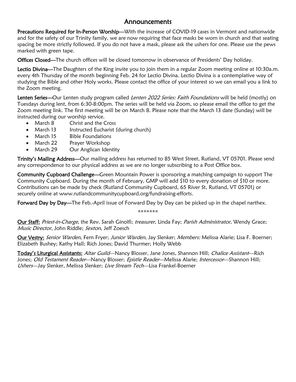### Announcements

Precautions Required for In-Person Worship—With the increase of COVID-19 cases in Vermont and nationwide and for the safety of our Trinity family, we are now requiring that face masks be worn in church and that seating spacing be more strictly followed. If you do not have a mask, please ask the ushers for one. Please use the pews marked with green tape.

Offices Closed—The church offices will be closed tomorrow in observance of Presidents' Day holiday.

Lectio Divina—The Daughters of the King invite you to join them in a regular Zoom meeting online at 10:30a.m. every 4th Thursday of the month beginning Feb. 24 for Lectio Divina. Lectio Divina is a contemplative way of studying the Bible and other Holy works. Please contact the office of your interest so we can email you a link to the Zoom meeting.

Lenten Series—Our Lenten study program called *Lenten 2022 Series: Faith Foundations* will be held (mostly) on Tuesdays during lent, from 6:30-8:00pm. The series will be held via Zoom, so please email the office to get the Zoom meeting link. The first meeting will be on March 8. Please note that the March 13 date (Sunday) will be instructed during our worship service.

- March 8 Christ and the Cross
- March 13 Instructed Eucharist (during church)
- March 15 Bible Foundations
- March 22 Prayer Workshop
- March 29 Our Anglican Identity

Trinity's Mailing Address-Our mailing address has returned to 85 West Street, Rutland, VT 05701. Please send any correspondence to our physical address as we are no longer subscribing to a Post Office box.

Community Cupboard Challenge—Green Mountain Power is sponsoring a matching campaign to support The Community Cupboard. During the month of February, GMP will add \$10 to every donation of \$10 or more. Contributions can be made by check (Rutland Community Cupboard, 65 River St, Rutland, VT 05701) or securely online at www.rutlandcommunitycupboard.org/fundraising-efforts.

Forward Day by Day-The Feb.-April issue of Forward Day by Day can be picked up in the chapel narthex.

\*\*\*\*\*\*\*

Our Staff: Priest-in-Charge, the Rev. Sarah Ginolfi; treasurer, Linda Fay; Parish Administrator, Wendy Grace; Music Director, John Riddle; Sexton, Jeff Zoesch

Our Vestry: Senior Warden, Fern Fryer; Junior Warden, Jay Slenker; Members: Melissa Alarie; Lisa F. Boerner; Elizabeth Bushey; Kathy Hall; Rich Jones; David Thurmer; Holly Webb

Today's Liturgical Assistants: Altar Guild—Nancy Blosser, Jane Jones, Shannon Hill; Chalice Assistant—Rich Jones; Old Testament Reader—Nancy Blosser; Epistle Reader—Melissa Alarie; Intercessor—Shannon Hill; Ushers—Jay Slenker, Melissa Slenker; Live Stream Tech—Lisa Frankel-Boerner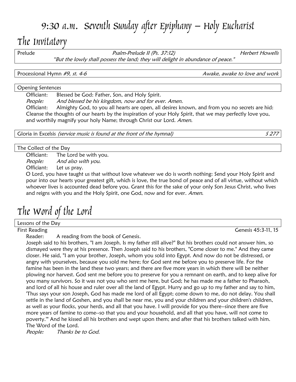## 9:30 a.m. Seventh Sunday after Epiphany – Holy Eucharist

## The Invitatory

Prelude **Prelude II (Ps. 37:12)** Prelude *II (Ps. 37:12)* Herbert Howells "But the lowly shall possess the land; they will delight in abundance of peace."

Processional Hymn #9, st. 4-6 Awake, awake to love and work

Opening Sentences

Officiant: Blessed be God: Father, Son, and Holy Spirit.

People: And blessed be his kingdom, now and for ever. Amen.

Officiant: Almighty God, to you all hearts are open, all desires known, and from you no secrets are hid: Cleanse the thoughts of our hearts by the inspiration of your Holy Spirit, that we may perfectly love you, and worthily magnify your holy Name; through Christ our Lord. Amen.

Gloria in Excelsis *(service music is found at the front of the hymnal)* S 277

The Collect of the Day

Officiant: The Lord be with you.

People: And also with you.

Officiant: Let us pray.

O Lord, you have taught us that without love whatever we do is worth nothing: Send your Holy Spirit and pour into our hearts your greatest gift, which is love, the true bond of peace and of all virtue, without which whoever lives is accounted dead before you. Grant this for the sake of your only Son Jesus Christ, who lives and reigns with you and the Holy Spirit, one God, now and for ever. Amen.

## The Word of the Lord

Lessons of the Day

First Reading Genesis 45:3-11, 15

Reader: A reading from the book of Genesis.

Joseph said to his brothers, "I am Joseph. Is my father still alive?" But his brothers could not answer him, so dismayed were they at his presence. Then Joseph said to his brothers, "Come closer to me." And they came closer. He said, "I am your brother, Joseph, whom you sold into Egypt. And now do not be distressed, or angry with yourselves, because you sold me here; for God sent me before you to preserve life. For the famine has been in the land these two years; and there are five more years in which there will be neither plowing nor harvest. God sent me before you to preserve for you a remnant on earth, and to keep alive for you many survivors. So it was not you who sent me here, but God; he has made me a father to Pharaoh, and lord of all his house and ruler over all the land of Egypt. Hurry and go up to my father and say to him, 'Thus says your son Joseph, God has made me lord of all Egypt; come down to me, do not delay. You shall settle in the land of Goshen, and you shall be near me, you and your children and your children's children, as well as your flocks, your herds, and all that you have. I will provide for you there--since there are five more years of famine to come--so that you and your household, and all that you have, will not come to poverty.'" And he kissed all his brothers and wept upon them; and after that his brothers talked with him. The Word of the Lord.

People: Thanks be to God.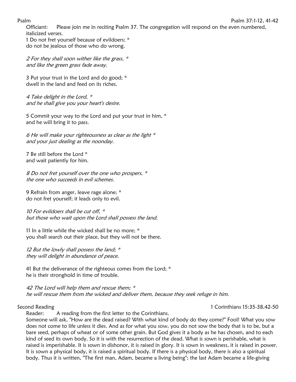#### Psalm Psalm 37:1-12, 41-42

Officiant: Please join me in reciting Psalm 37. The congregation will respond on the even numbered, italicized verses.

1 Do not fret yourself because of evildoers; \* do not be jealous of those who do wrong.

2 For they shall soon wither like the grass, \* and like the green grass fade away.

3 Put your trust in the Lord and do good; \* dwell in the land and feed on its riches.

4 Take delight in the Lord, \* and he shall give you your heart's desire.

5 Commit your way to the Lord and put your trust in him, \* and he will bring it to pass.

6 He will make your righteousness as clear as the light \* and your just dealing as the noonday.

7 Be still before the Lord \* and wait patiently for him.

8 Do not fret yourself over the one who prospers, \* the one who succeeds in evil schemes.

9 Refrain from anger, leave rage alone; \* do not fret yourself; it leads only to evil.

10 For evildoers shall be cut off,  $*$ but those who wait upon the Lord shall possess the land.

11 In a little while the wicked shall be no more; \* you shall search out their place, but they will not be there.

12 But the lowly shall possess the land; \* they will delight in abundance of peace.

41 But the deliverance of the righteous comes from the Lord; \* he is their stronghold in time of trouble.

42 The Lord will help them and rescue them; \* he will rescue them from the wicked and deliver them, because they seek refuge in him.

### Second Reading 15:35-38,42-50

Reader: A reading from the first letter to the Corinthians.

Someone will ask, "How are the dead raised? With what kind of body do they come?" Fool! What you sow does not come to life unless it dies. And as for what you sow, you do not sow the body that is to be, but a bare seed, perhaps of wheat or of some other grain. But God gives it a body as he has chosen, and to each kind of seed its own body. So it is with the resurrection of the dead. What is sown is perishable, what is raised is imperishable. It is sown in dishonor, it is raised in glory. It is sown in weakness, it is raised in power. It is sown a physical body, it is raised a spiritual body. If there is a physical body, there is also a spiritual body. Thus it is written, "The first man, Adam, became a living being"; the last Adam became a life-giving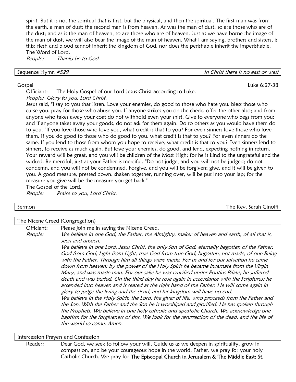spirit. But it is not the spiritual that is first, but the physical, and then the spiritual. The first man was from the earth, a man of dust; the second man is from heaven. As was the man of dust, so are those who are of the dust; and as is the man of heaven, so are those who are of heaven. Just as we have borne the image of the man of dust, we will also bear the image of the man of heaven. What I am saying, brothers and sisters, is this: flesh and blood cannot inherit the kingdom of God, nor does the perishable inherit the imperishable. The Word of Lord.

People: Thanks be to God.

Sequence Hymn  $#529$ 

#### Gospel Luke 6:27-38

Officiant: The Holy Gospel of our Lord Jesus Christ according to Luke. People: Glory to you, Lord Christ.

Jesus said, "I say to you that listen, Love your enemies, do good to those who hate you, bless those who curse you, pray for those who abuse you. If anyone strikes you on the cheek, offer the other also; and from anyone who takes away your coat do not withhold even your shirt. Give to everyone who begs from you; and if anyone takes away your goods, do not ask for them again. Do to others as you would have them do to you. "If you love those who love you, what credit is that to you? For even sinners love those who love them. If you do good to those who do good to you, what credit is that to you? For even sinners do the same. If you lend to those from whom you hope to receive, what credit is that to you? Even sinners lend to sinners, to receive as much again. But love your enemies, do good, and lend, expecting nothing in return. Your reward will be great, and you will be children of the Most High; for he is kind to the ungrateful and the wicked. Be merciful, just as your Father is merciful. "Do not judge, and you will not be judged; do not condemn, and you will not be condemned. Forgive, and you will be forgiven; give, and it will be given to you. A good measure, pressed down, shaken together, running over, will be put into your lap; for the measure you give will be the measure you get back."

The Gospel of the Lord.

People: Praise to you, Lord Christ.

| Sermon | $\cdots$<br>Ginolfi<br>∂ arah<br>Rev.<br>he |
|--------|---------------------------------------------|
|        |                                             |

#### The Nicene Creed (Congregation)

Officiant: Please join me in saying the Nicene Creed.

People: We believe in one God, the Father, the Almighty, maker of heaven and earth, of all that is, seen and unseen.

We believe in one Lord, Jesus Christ, the only Son of God, eternally begotten of the Father, God from God, Light from Light, true God from true God, begotten, not made, of one Being with the Father. Through him all things were made. For us and for our salvation he came down from heaven: by the power of the Holy Spirit he became incarnate from the Virgin Mary, and was made man. For our sake he was crucified under Pontius Pilate; he suffered death and was buried. On the third day he rose again in accordance with the Scriptures; he ascended into heaven and is seated at the right hand of the Father. He will come again in glory to judge the living and the dead, and his kingdom will have no end.

We believe in the Holy Spirit, the Lord, the giver of life, who proceeds from the Father and the Son. With the Father and the Son he is worshiped and glorified. He has spoken through the Prophets. We believe in one holy catholic and apostolic Church. We acknowledge one baptism for the forgiveness of sins. We look for the resurrection of the dead, and the life of the world to come. Amen.

#### Intercession Prayers and Confession

Reader: Dear God, we seek to follow your will. Guide us as we deepen in spirituality, grow in compassion, and be your courageous hope in the world. Father, we pray for your holy Catholic Church. We pray for The Episcopal Church in Jerusalem & The Middle East; St.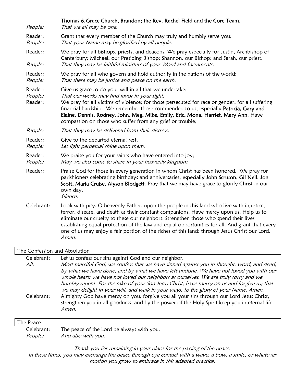| People:                       | Thomas & Grace Church, Brandon; the Rev. Rachel Field and the Core Team.<br>That we all may be one.                                                                                                                                                                                                                                                                                                                                                                                     |
|-------------------------------|-----------------------------------------------------------------------------------------------------------------------------------------------------------------------------------------------------------------------------------------------------------------------------------------------------------------------------------------------------------------------------------------------------------------------------------------------------------------------------------------|
| Reader:<br>People:            | Grant that every member of the Church may truly and humbly serve you;<br>That your Name may be glorified by all people.                                                                                                                                                                                                                                                                                                                                                                 |
| Reader:<br>People:            | We pray for all bishops, priests, and deacons. We pray especially for Justin, Archbishop of<br>Canterbury; Michael, our Presiding Bishop; Shannon, our Bishop; and Sarah, our priest.<br>That they may be faithful ministers of your Word and Sacraments.                                                                                                                                                                                                                               |
| Reader:<br>People:            | We pray for all who govern and hold authority in the nations of the world;<br>That there may be justice and peace on the earth.                                                                                                                                                                                                                                                                                                                                                         |
| Reader:<br>People:<br>Reader: | Give us grace to do your will in all that we undertake;<br>That our works may find favor in your sight.<br>We pray for all victims of violence; for those persecuted for race or gender; for all suffering<br>financial hardship. We remember those commended to us, especially Patricia, Gary and<br>Elaine, Dennis, Rodney, John, Meg, Mike, Emily, Eric, Mona, Harriet, Mary Ann. Have<br>compassion on those who suffer from any grief or trouble;                                  |
| People:                       | That they may be delivered from their distress.                                                                                                                                                                                                                                                                                                                                                                                                                                         |
| Reader:<br>People:            | Give to the departed eternal rest.<br>Let light perpetual shine upon them.                                                                                                                                                                                                                                                                                                                                                                                                              |
| Reader:<br>People:            | We praise you for your saints who have entered into joy;<br>May we also come to share in your heavenly kingdom.                                                                                                                                                                                                                                                                                                                                                                         |
| Reader:                       | Praise God for those in every generation in whom Christ has been honored. We pray for<br>parishioners celebrating birthdays and anniversaries, especially John Scruton, Gil Nell, Jon<br>Scott, Maria Cruise, Alyson Blodgett. Pray that we may have grace to glorify Christ in our<br>own day.<br>Silence.                                                                                                                                                                             |
| Celebrant:                    | Look with pity, O heavenly Father, upon the people in this land who live with injustice,<br>terror, disease, and death as their constant companions. Have mercy upon us. Help us to<br>eliminate our cruelty to these our neighbors. Strengthen those who spend their lives<br>establishing equal protection of the law and equal opportunities for all. And grant that every<br>one of us may enjoy a fair portion of the riches of this land; through Jesus Christ our Lord.<br>Amen. |

| The Confession and Absolution |  |
|-------------------------------|--|
|                               |  |

Celebrant: Let us confess our sins against God and our neighbor.

All: Most merciful God, we confess that we have sinned against you in thought, word, and deed, by what we have done, and by what we have left undone. We have not loved you with our whole heart; we have not loved our neighbors as ourselves. We are truly sorry and we humbly repent. For the sake of your Son Jesus Christ, have mercy on us and forgive us; that we may delight in your will, and walk in your ways, to the glory of your Name. Amen. Celebrant: Almighty God have mercy on you, forgive you all your sins through our Lord Jesus Christ,

strengthen you in all goodness, and by the power of the Holy Spirit keep you in eternal life. Amen.

#### The Peace

Celebrant: The peace of the Lord be always with you. People: And also with you.

Thank you for remaining in your place for the passing of the peace. In these times, you may exchange the peace through eye contact with a wave, a bow, a smile, or whatever motion you grow to embrace in this adapted practice.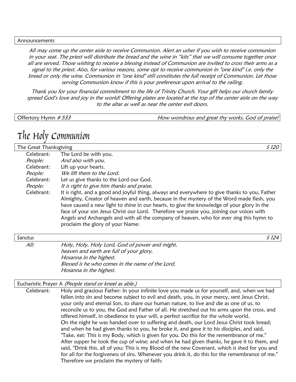#### Announcements

All may come up the center aisle to receive Communion. Alert an usher if you wish to receive communion in your seat. The priest will distribute the bread and the wine in "kits" that we will consume together once all are served. Those wishing to receive a blessing instead of Communion are invited to cross their arms as a signal to the priest. Also, for various reasons, some opt to receive communion in "one kind" i.e. only the bread or only the wine. Communion in "one kind" still constitutes the full receipt of Communion. Let those serving Communion know if this is your preference upon arrival to the railing.

Thank you for your financial commitment to the life of Trinity Church. Your gift helps our church family spread God's love and joy in the world! Offering plates are located at the top of the center aisle on the way to the altar as well as near the center exit doors.

Offertory Hymn #533 **How wondrous and great thy works, God of praise!** 

### The Holy Communion

The Great Thanksgiving Services of the State of the State of the State of the State of the State of the State o Celebrant: The Lord be with you. People: And also with you. Celebrant: Lift up your hearts. People: We lift them to the Lord. Celebrant: Let us give thanks to the Lord our God. People: It is right to give him thanks and praise. Celebrant: It is right, and a good and joyful thing, always and everywhere to give thanks to you, Father Almighty, Creator of heaven and earth, because in the mystery of the Word made flesh, you have caused a new light to shine in our hearts, to give the knowledge of your glory in the face of your son Jesus Christ our Lord. Therefore we praise you, joining our voices with Angels and Archangels and with all the company of heaven, who for ever sing this hymn to proclaim the glory of your Name:

| Sanctus |                                                  | S 124 |
|---------|--------------------------------------------------|-------|
| All:    | Holy, Holy, Holy Lord, God of power and might,   |       |
|         | heaven and earth are full of your glory.         |       |
|         | Hosanna in the highest.                          |       |
|         | Blessed is he who comes in the name of the Lord. |       |
|         | Hosanna in the highest.                          |       |

#### Eucharistic Prayer A (People stand or kneel as able.)

Celebrant: Holy and gracious Father: In your infinite love you made us for yourself, and, when we had fallen into sin and become subject to evil and death, you, in your mercy, sent Jesus Christ, your only and eternal Son, to share our human nature, to live and die as one of us, to reconcile us to you, the God and Father of all. He stretched out his arms upon the cross, and offered himself, in obedience to your will, a perfect sacrifice for the whole world. On the night he was handed over to suffering and death, our Lord Jesus Christ took bread; and when he had given thanks to you, he broke it, and gave it to his disciples, and said, "Take, eat: This is my Body, which is given for you. Do this for the remembrance of me." After supper he took the cup of wine; and when he had given thanks, he gave it to them, and said, "Drink this, all of you: This is my Blood of the new Covenant, which is shed for you and for all for the forgiveness of sins. Whenever you drink it, do this for the remembrance of me." Therefore we proclaim the mystery of faith: